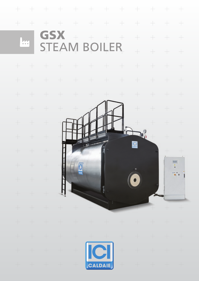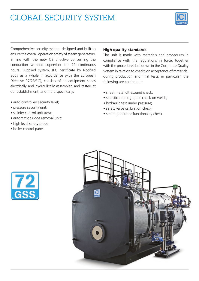# GLOBAL SECURITY SYSTEM



Comprehensive security system, designed and built to ensure the overall operation safety of steam generators, in line with the new CE directive concerning the conduction without supervisor for 72 continuous hours. Supplied system, (EC certificate by Notified Body as a whole in accordance with the European Directive 97/23/EC), consists of an equipment series electrically and hydraulically assembled and tested at our establishment, and more specifically:

- auto controlled security level;
- pressure security unit;
- salinity control unit (tds);
- automatic sludge removal unit;
- high level safety probe;
- boiler control panel.

### High quality standards

The unit is made with materials and procedures in compliance with the regulations in force, together with the procedures laid down in the Corporate Quality System in relation to checks on acceptance of materials, during production and final tests; in particular, the following are carried out:

- sheet metal ultrasound check:
- statistical radiographic check on welds;
- hydraulic test under pressure;
- safety valve calibration check;
- steam generator functionality check.



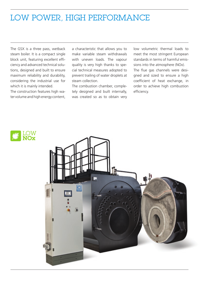# LOW POWER, HIGH PERFORMANCE

The GSX is a three pass, wetback steam boiler. It is a compact single block unit, featuring excellent efficiency and advanced technical solutions, designed and built to ensure maximum reliability and durability, considering the industrial use for which it is mainly intended.

The construction features high water volume and high energy content, a characteristic that allows you to make variable steam withdrawals with uneven loads. The vapour quality is very high thanks to special technical measures adopted to prevent trailing of water droplets at steam collection.

The combustion chamber, completely designed and built internally, was created so as to obtain very low volumetric thermal loads to meet the most stringent European standards in terms of harmful emissions into the atmosphere (NOx). The flue gas channels were designed and sized to ensure a high coefficient of heat exchange, in order to achieve high combustion efficiency.



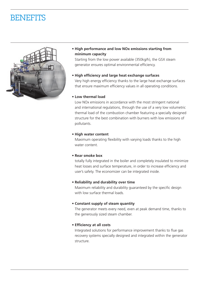# **BENEFITS**



**• High performance and low NOx emissions starting from minimum capacity**

Starting from the low power available (350kg/h), the GSX steam generator ensures optimal environmental efficiency.

**• High ef�ciency and large heat exchange surfaces**

Very high energy efficiency thanks to the large heat exchange surfaces that ensure maximum efficiency values in all operating conditions.

#### **• Low thermal load**

Low NOx emissions in accordance with the most stringent national and international regulations, through the use of a very low volumetric thermal load of the combustion chamber featuring a specially designed structure for the best combination with burners with low emissions of pollutants.

#### **• High water content**

Maximum operating flexibility with varying loads thanks to the high water content.

#### **• Rear smoke box**

totally fully integrated in the boiler and completely insulated to minimize heat losses and surface temperature, in order to increase efficiency and user's safety. The economizer can be integrated inside.

#### **• Reliability and durability over time**

Maximum reliability and durability guaranteed by the specific design with low surface thermal loads.

### **• Constant supply of steam quantity**

The generator meets every need, even at peak demand time, thanks to the generously sized steam chamber.

### **• Ef�ciency at all costs**

Integrated solutions for performance improvement thanks to flue gas recovery systems specially designed and integrated within the generator structure.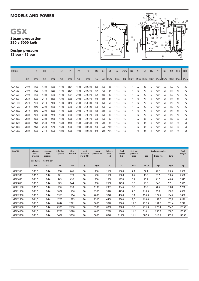## MODELS AND POWER

Steam production 350 ÷ 5000 kg/h

Design pressure 12 bar - 15 bar



| <b>MODEL</b> | H    | H1   | H <sub>4</sub> |      | L <sub>2</sub> | P    | P <sub>2</sub> | P6      | Øb  | Øc  | N <sub>1</sub> | N <sub>2</sub> | N1/N2 | N <sub>3</sub>           | N <sub>4</sub> | N <sub>5</sub> | N <sub>6</sub> | N <sub>7</sub> | N <sub>8</sub> | N <sub>9</sub>                                                        | N <sub>10</sub> | N <sub>11</sub> |
|--------------|------|------|----------------|------|----------------|------|----------------|---------|-----|-----|----------------|----------------|-------|--------------------------|----------------|----------------|----------------|----------------|----------------|-----------------------------------------------------------------------|-----------------|-----------------|
|              | mm   | mm   | mm             | mm   | mm             | mm   | mm             | mm      | mm  | mm  | DN/in          | DN/in          | PN    |                          |                |                |                |                |                | DN/in   DN/in   DN/in   DN/in   DN/in   DN/in   DN/in   DN/in   DN/in |                 |                 |
| GSX 350      | 2190 | 1720 | 1780           | 1850 | 1100           | 2104 | 1504           | 280-330 | 180 | 250 | 32             | 1"1/4          | 16    |                          | 32             | 25             | 1/2''          | 1/2'           | 50             | 100                                                                   | 40              | 125             |
| GSX 500      | 2190 | 1720 | 1780           | 1850 | 1100           | 2104 | 1504           | 280-330 | 225 | 250 | 32             | 1"1/4          | 16    |                          | 32             | 25             | 1/2''          | 1/2'           | 50             | 100                                                                   | 40              | 125             |
| GSX 650      | 2190 | 1720 | 1780           | 1850 | 1100           | 2604 | 2004           | 320-370 | 225 | 300 | 40             | 1"1/4          | 16    |                          | 32             | 25             | 1/2''          | 1/2''          | 50             | 100                                                                   | 40              | 125             |
| GSX 850      | 2520 | 2050 | 2110           | 2180 | 1300           | 2658 | 2008           | 320-370 | 280 | 300 | 40             | 1"1/4          | 16    |                          | 32             | 25             | 1/2''          | 1/2'           | 50             | 100                                                                   | 40              | 125             |
| GSX 1100     | 2520 | 2050 | 2110           | 2180 | 1400           | 3158 | 2508           | 350-400 | 280 | 350 | 50             | 1"1/4          | 16    |                          | 32             | 25             | 1/2''          | 1/2'           | 50             | 125                                                                   | 40              | 125             |
| GSX 1500     | 2610 | 2140 | 2200           | 2280 | 1400           | 3258 | 2508           | 350-400 | 280 | 350 | 50             | 1"1/4          | 16    |                          | 32             | 25             | 1/2''          | 1/2''          | 50             | 125                                                                   | 40              | 125             |
| GSX 2000     | 2610 | 2140 | 2200           | 2280 | 1400           | 3758 | 3008           | 370-420 | 320 | 400 | 65             | 1"1/4          | 16    |                          | 32             | 25             | 1/2''          | 1/2''          | 50             | 125                                                                   | 40              | 125             |
| GSX 2500     | 2680 | 2328 | 2388           | 2458 | 1500           | 3808 | 3008           | 420-470 | 360 | 450 | 80             | 1"1/4          | 16    |                          | 32             | 25             | 1/2''          | 1/2'           | 50             | 125                                                                   | 40              | 125             |
| GSX 3000     | 2680 | 2328 | 2388           | 2458 | 1500           | 4308 | 3508           | 420-470 | 360 | 450 | 80             | 1"1/4          | 16    |                          | 32             | 32             | 1/2''          | 1/2'           | 50             | 125                                                                   | 50              | 150             |
| GSX 3500     | 2680 | 2478 | 2538           | 2648 | 1600           | 4408 | 3508           | 480-530 | 360 | 500 | 80             | 1"1/4          | 16    |                          | 32             | 32             | 1/2''          | 1/2'           | 50             | 150                                                                   | 50              | 150             |
| GSX 4000     | 2680 | 2478 | 2538           | 2648 | 1600           | 4908 | 4008           | 480-530 | 400 | 550 | 100            | 1"1/4          | 16    | $\overline{\phantom{a}}$ | 32             | 32             | 1/2''          | 1/2'           | 50             | 150                                                                   | 50              | 150             |
| GSX 5000     | 2680 | 2650 | 2710           | 2820 | 1800           | 4908 | 4008           | 480-530 | 400 | 600 | 125            | 1"1/4          | 16    |                          | 32             | 32             | 1/2''          | 1/2'           | 50             | 150                                                                   | 50              | 150             |

| <b>MODEL</b> | $min-max$<br>work<br>pressure | $min-max$<br>work<br>pressure | <b>Effective</b><br>capacity | Flow<br>thermal | 100%<br>Efficiency<br>(ref C.O.P.) | Steam<br>production | Volume<br>level<br>H <sub>2</sub> O | <b>Total</b><br>volume<br>H <sub>2</sub> O | Fuel gas<br>pressure<br>drop | <b>Fuel consumption</b> | <b>Total</b>       |              |        |
|--------------|-------------------------------|-------------------------------|------------------------------|-----------------|------------------------------------|---------------------|-------------------------------------|--------------------------------------------|------------------------------|-------------------------|--------------------|--------------|--------|
|              |                               |                               |                              |                 |                                    |                     |                                     |                                            |                              | Gas                     | <b>Diesel fuel</b> | <b>Nafta</b> | weight |
|              | mod 12 bar                    | mod 15 bar                    |                              |                 |                                    |                     |                                     |                                            |                              |                         |                    |              |        |
|              | bar                           | bar                           | kW                           | kW              | $\%$                               | kg/h                |                                     |                                            | mbar                         | Nm3/h                   | kg/h               | kg/h         | kg     |
| GSX 350      | $8 - 11,5$                    | $12 - 14$                     | 238                          | 265             | 90                                 | 350                 | 1150                                | 1500                                       | 4,1                          | 27,1                    | 22,3               | 23,5         | 2550   |
| GSX 500      | $8 - 11,5$                    | $12 - 14$                     | 341                          | 379             | 90                                 | 500                 | 1150                                | 1500                                       | 4,7                          | 38,8                    | 31,9               | 33,6         | 2550   |
| GSX 650      | $8 - 11,5$                    | $12 - 14$                     | 443                          | 492             | 90                                 | 650                 | 1500                                | 1950                                       | 5,7                          | 50,4                    | 41,5               | 43,6         | 3315   |
| GSX 850      | $8 - 11,5$                    | $12 - 14$                     | 579                          | 644             | 90                                 | 850                 | 2500                                | 3250                                       | 5,0                          | 65,9                    | 54,3               | 57,1         | 5525   |
| GSX 1100     | $8 - 11,5$                    | $12 - 14$                     | 750                          | 833             | 90                                 | 1100                | 2953                                | 3946                                       | 6,0                          | 85,3                    | 70,2               | 73,8         | 5700   |
| GSX 1500     | $8 - 11,5$                    | $12 - 14$                     | 1022                         | 1136            | 90                                 | 1500                | 3326                                | 4234                                       | 7,0                          | 116,3                   | 95,8               | 100,7        | 6350   |
| GSX 2000     | $8 - 11,5$                    | $12 - 14$                     | 1363                         | 1514            | 90                                 | 2000                | 3840                                | 4860                                       | 9,1                          | 155,0                   | 127,7              | 134,2        | 7450   |
| GSX 2500     | $8 - 11,5$                    | $12 - 14$                     | 1703                         | 1893            | 90                                 | 2500                | 4460                                | 5800                                       | 9,0                          | 193,8                   | 159,6              | 167,8        | 8120   |
| GSX 3000     | $8 - 11,5$                    | $12 - 14$                     | 2044                         | 2271            | 90                                 | 3000                | 5070                                | 6600                                       | 10,2                         | 232,5                   | 191,5              | 201,4        | 9240   |
| GSX 3500     | $8 - 11,5$                    | $12 - 14$                     | 2385                         | 2650            | 90                                 | 3500                | 6800                                | 8000                                       | 9,8                          | 271,3                   | 223,4              | 234,9        | 13150  |
| GSX 4000     | $8 - 11,5$                    | $12 - 14$                     | 2726                         | 3028            | 90                                 | 4000                | 7290                                | 9800                                       | 11,2                         | 310,1                   | 255,3              | 268,5        | 13550  |
| GSX 5000     | $8 - 11,5$                    | $12 - 14$                     | 3407                         | 3786            | 90                                 | 5000                | 8840                                | 11500                                      | 11,1                         | 387,6                   | 319,2              | 335,6        | 14950  |